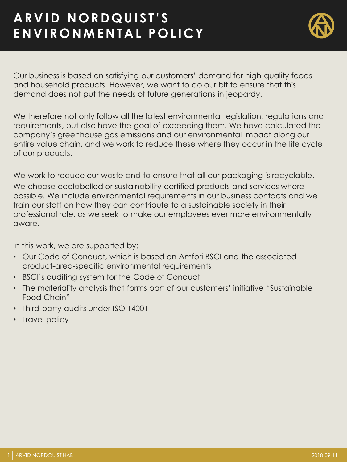## **A R V I D N O R D Q U I S T ' S E N V I R O N M E N T A L P O L I C Y**



Our business is based on satisfying our customers' demand for high-quality foods and household products. However, we want to do our bit to ensure that this demand does not put the needs of future generations in jeopardy.

We therefore not only follow all the latest environmental legislation, regulations and requirements, but also have the goal of exceeding them. We have calculated the company's greenhouse gas emissions and our environmental impact along our entire value chain, and we work to reduce these where they occur in the life cycle of our products.

We work to reduce our waste and to ensure that all our packaging is recyclable. We choose ecolabelled or sustainability-certified products and services where possible. We include environmental requirements in our business contacts and we train our staff on how they can contribute to a sustainable society in their professional role, as we seek to make our employees ever more environmentally aware.

In this work, we are supported by:

- Our Code of Conduct, which is based on Amfori BSCI and the associated product-area-specific environmental requirements
- BSCI's auditing system for the Code of Conduct
- The materiality analysis that forms part of our customers' initiative "Sustainable Food Chain"
- Third-party audits under ISO 14001
- Travel policy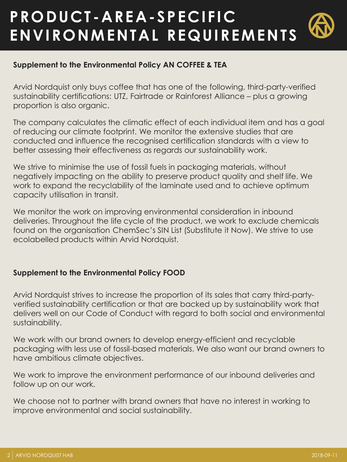# **PRODUCT -AREA-SPECIFIC ENVIRONMENTAL REQUIREMENTS**

### **Supplement to the Environmental Policy AN COFFEE & TEA**

Arvid Nordquist only buys coffee that has one of the following, third-party-verified sustainability certifications: UTZ, Fairtrade or Rainforest Alliance – plus a growing proportion is also organic.

The company calculates the climatic effect of each individual item and has a goal of reducing our climate footprint. We monitor the extensive studies that are conducted and influence the recognised certification standards with a view to better assessing their effectiveness as regards our sustainability work.

We strive to minimise the use of fossil fuels in packaging materials, without negatively impacting on the ability to preserve product quality and shelf life. We work to expand the recyclability of the laminate used and to achieve optimum capacity utilisation in transit.

We monitor the work on improving environmental consideration in inbound deliveries. Throughout the life cycle of the product, we work to exclude chemicals found on the organisation ChemSec's SIN List (Substitute it Now). We strive to use ecolabelled products within Arvid Nordquist.

#### **Supplement to the Environmental Policy FOOD**

Arvid Nordquist strives to increase the proportion of its sales that carry third-partyverified sustainability certification or that are backed up by sustainability work that delivers well on our Code of Conduct with regard to both social and environmental sustainability.

We work with our brand owners to develop energy-efficient and recyclable packaging with less use of fossil-based materials. We also want our brand owners to have ambitious climate objectives.

We work to improve the environment performance of our inbound deliveries and follow up on our work.

We choose not to partner with brand owners that have no interest in working to improve environmental and social sustainability.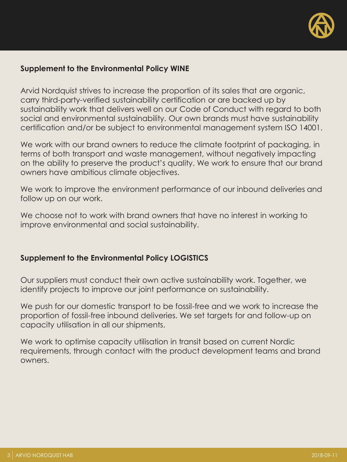

#### **Supplement to the Environmental Policy WINE**

Arvid Nordquist strives to increase the proportion of its sales that are organic, carry third-party-verified sustainability certification or are backed up by sustainability work that delivers well on our Code of Conduct with regard to both social and environmental sustainability. Our own brands must have sustainability certification and/or be subject to environmental management system ISO 14001.

We work with our brand owners to reduce the climate footprint of packaging, in terms of both transport and waste management, without negatively impacting on the ability to preserve the product's quality. We work to ensure that our brand owners have ambitious climate objectives.

We work to improve the environment performance of our inbound deliveries and follow up on our work.

We choose not to work with brand owners that have no interest in working to improve environmental and social sustainability.

#### **Supplement to the Environmental Policy LOGISTICS**

Our suppliers must conduct their own active sustainability work. Together, we identify projects to improve our joint performance on sustainability.

We push for our domestic transport to be fossil-free and we work to increase the proportion of fossil-free inbound deliveries. We set targets for and follow-up on capacity utilisation in all our shipments.

We work to optimise capacity utilisation in transit based on current Nordic requirements, through contact with the product development teams and brand owners.